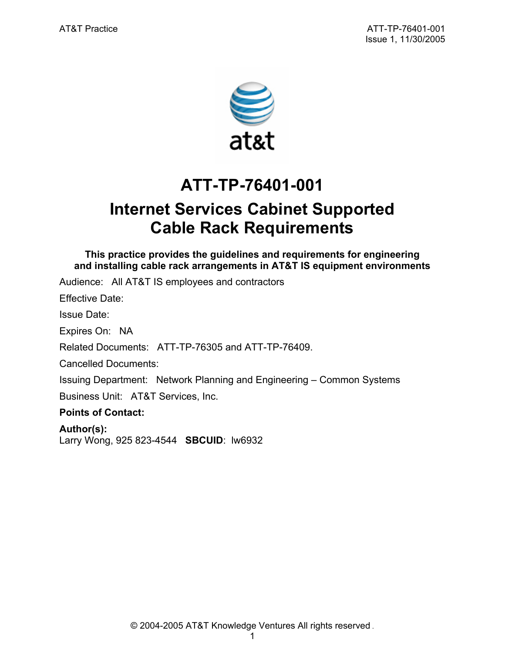

# **ATT-TP-76401-001**

# **Internet Services Cabinet Supported Cable Rack Requirements**

**This practice provides the guidelines and requirements for engineering and installing cable rack arrangements in AT&T IS equipment environments** 

Audience: All AT&T IS employees and contractors

Effective Date:

Issue Date:

Expires On: NA

Related Documents: ATT-TP-76305 and ATT-TP-76409.

Cancelled Documents:

Issuing Department: Network Planning and Engineering – Common Systems Business Unit: AT&T Services, Inc.

**Points of Contact:** 

**Author(s):**  Larry Wong, 925 823-4544 **SBCUID**: lw6932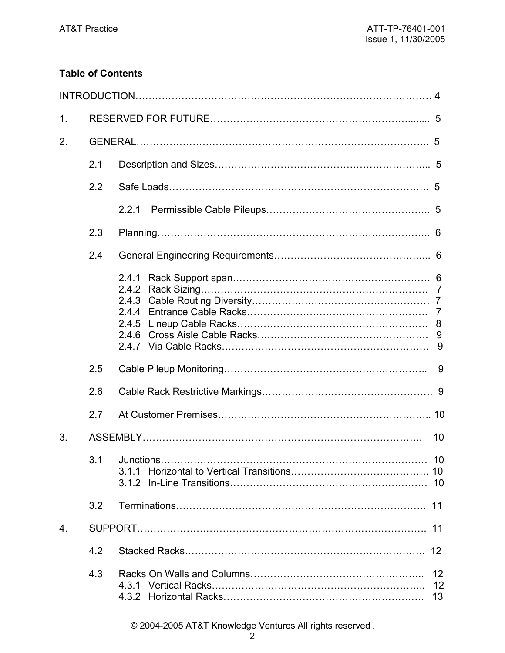# **Table of Contents**

| $\mathbf{1}$ . |     |                                           |                     |
|----------------|-----|-------------------------------------------|---------------------|
| 2.             |     |                                           |                     |
|                | 2.1 |                                           |                     |
|                | 2.2 |                                           |                     |
|                |     | 2.2.1                                     |                     |
|                | 2.3 |                                           |                     |
|                | 2.4 |                                           |                     |
|                |     | 2.4.1<br>2.4.2<br>2.4.3<br>2.4.4<br>2.4.5 |                     |
|                | 2.5 |                                           | 9                   |
|                | 2.6 |                                           |                     |
|                | 2.7 |                                           |                     |
| 3.             |     |                                           | 10                  |
|                |     | 3.1.1                                     |                     |
|                | 3.2 |                                           |                     |
| 4.             |     |                                           |                     |
|                | 4.2 |                                           | 12                  |
|                | 4.3 |                                           | $12 \,$<br>12<br>13 |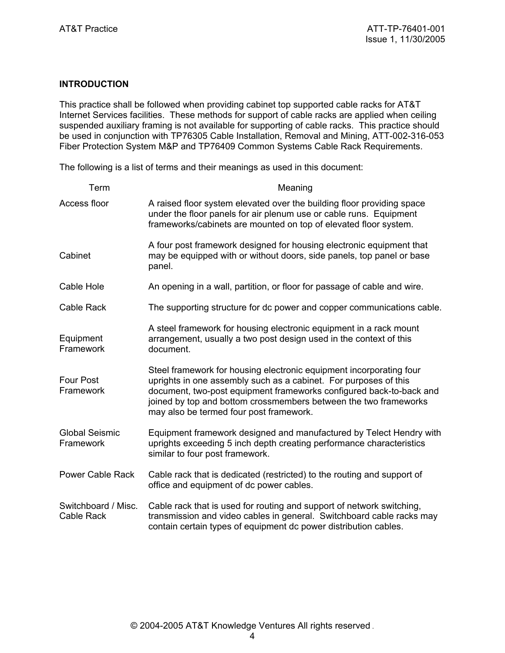## **INTRODUCTION**

This practice shall be followed when providing cabinet top supported cable racks for AT&T Internet Services facilities. These methods for support of cable racks are applied when ceiling suspended auxiliary framing is not available for supporting of cable racks. This practice should be used in conjunction with TP76305 Cable Installation, Removal and Mining, ATT-002-316-053 Fiber Protection System M&P and TP76409 Common Systems Cable Rack Requirements.

The following is a list of terms and their meanings as used in this document:

| Term                                     | Meaning                                                                                                                                                                                                                                                                                                                       |
|------------------------------------------|-------------------------------------------------------------------------------------------------------------------------------------------------------------------------------------------------------------------------------------------------------------------------------------------------------------------------------|
| Access floor                             | A raised floor system elevated over the building floor providing space<br>under the floor panels for air plenum use or cable runs. Equipment<br>frameworks/cabinets are mounted on top of elevated floor system.                                                                                                              |
| Cabinet                                  | A four post framework designed for housing electronic equipment that<br>may be equipped with or without doors, side panels, top panel or base<br>panel.                                                                                                                                                                       |
| Cable Hole                               | An opening in a wall, partition, or floor for passage of cable and wire.                                                                                                                                                                                                                                                      |
| Cable Rack                               | The supporting structure for dc power and copper communications cable.                                                                                                                                                                                                                                                        |
| Equipment<br>Framework                   | A steel framework for housing electronic equipment in a rack mount<br>arrangement, usually a two post design used in the context of this<br>document.                                                                                                                                                                         |
| Four Post<br>Framework                   | Steel framework for housing electronic equipment incorporating four<br>uprights in one assembly such as a cabinet. For purposes of this<br>document, two-post equipment frameworks configured back-to-back and<br>joined by top and bottom crossmembers between the two frameworks<br>may also be termed four post framework. |
| <b>Global Seismic</b><br>Framework       | Equipment framework designed and manufactured by Telect Hendry with<br>uprights exceeding 5 inch depth creating performance characteristics<br>similar to four post framework.                                                                                                                                                |
| <b>Power Cable Rack</b>                  | Cable rack that is dedicated (restricted) to the routing and support of<br>office and equipment of dc power cables.                                                                                                                                                                                                           |
| Switchboard / Misc.<br><b>Cable Rack</b> | Cable rack that is used for routing and support of network switching,<br>transmission and video cables in general. Switchboard cable racks may<br>contain certain types of equipment dc power distribution cables.                                                                                                            |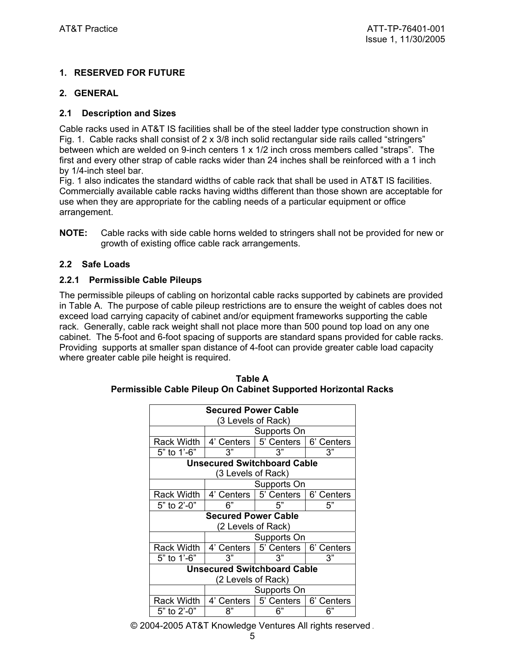# **1. RESERVED FOR FUTURE**

# **2. GENERAL**

## **2.1 Description and Sizes**

Cable racks used in AT&T IS facilities shall be of the steel ladder type construction shown in Fig. 1. Cable racks shall consist of  $2 \times 3/8$  inch solid rectangular side rails called "stringers" between which are welded on 9-inch centers 1 x 1/2 inch cross members called "straps". The first and every other strap of cable racks wider than 24 inches shall be reinforced with a 1 inch by 1/4-inch steel bar.

Fig. 1 also indicates the standard widths of cable rack that shall be used in AT&T IS facilities. Commercially available cable racks having widths different than those shown are acceptable for use when they are appropriate for the cabling needs of a particular equipment or office arrangement.

**NOTE:** Cable racks with side cable horns welded to stringers shall not be provided for new or growth of existing office cable rack arrangements.

## **2.2 Safe Loads**

#### **2.2.1 Permissible Cable Pileups**

The permissible pileups of cabling on horizontal cable racks supported by cabinets are provided in Table A. The purpose of cable pileup restrictions are to ensure the weight of cables does not exceed load carrying capacity of cabinet and/or equipment frameworks supporting the cable rack. Generally, cable rack weight shall not place more than 500 pound top load on any one cabinet. The 5-foot and 6-foot spacing of supports are standard spans provided for cable racks. Providing supports at smaller span distance of 4-foot can provide greater cable load capacity where greater cable pile height is required.

| <b>Secured Power Cable</b>         |                                    |                         |            |  |
|------------------------------------|------------------------------------|-------------------------|------------|--|
| (3 Levels of Rack)                 |                                    |                         |            |  |
|                                    | Supports On                        |                         |            |  |
| <b>Rack Width</b>                  |                                    | 4' Centers   5' Centers | 6' Centers |  |
| 5" to 1'-6"                        | 3"                                 | 3"                      | 3"         |  |
|                                    | <b>Unsecured Switchboard Cable</b> |                         |            |  |
| (3 Levels of Rack)                 |                                    |                         |            |  |
|                                    | Supports On                        |                         |            |  |
| <b>Rack Width</b>                  |                                    | 4' Centers   5' Centers | 6' Centers |  |
| 5" to 2'-0"                        | 6"                                 | 5"                      | 5"         |  |
| <b>Secured Power Cable</b>         |                                    |                         |            |  |
| (2 Levels of Rack)                 |                                    |                         |            |  |
| Supports On                        |                                    |                         |            |  |
| <b>Rack Width</b>                  |                                    | 4' Centers   5' Centers | 6' Centers |  |
| 5" to 1'-6"                        | 3"                                 | 3"                      | 3"         |  |
| <b>Unsecured Switchboard Cable</b> |                                    |                         |            |  |
| (2 Levels of Rack)                 |                                    |                         |            |  |
|                                    | Supports On                        |                         |            |  |
| Rack Width                         | 4' Centers                         | 5' Centers              | 6' Centers |  |
| 5" to 2'-0"                        | ጸ"                                 | 6"                      | 6"         |  |

| Table A                                                        |
|----------------------------------------------------------------|
| Permissible Cable Pileup On Cabinet Supported Horizontal Racks |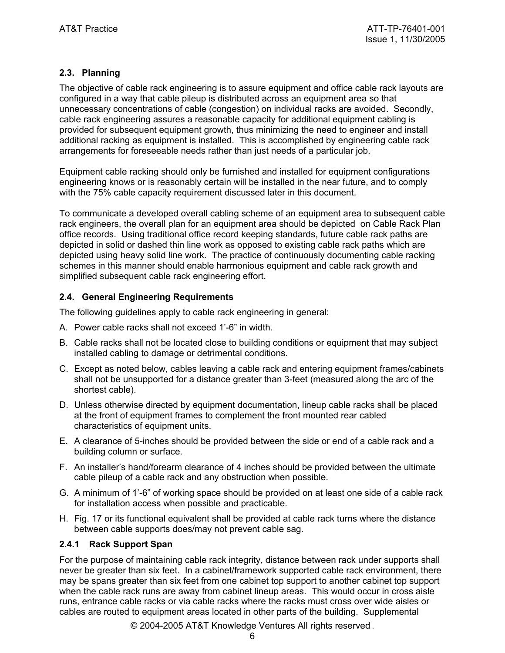# **2.3. Planning**

The objective of cable rack engineering is to assure equipment and office cable rack layouts are configured in a way that cable pileup is distributed across an equipment area so that unnecessary concentrations of cable (congestion) on individual racks are avoided. Secondly, cable rack engineering assures a reasonable capacity for additional equipment cabling is provided for subsequent equipment growth, thus minimizing the need to engineer and install additional racking as equipment is installed. This is accomplished by engineering cable rack arrangements for foreseeable needs rather than just needs of a particular job.

Equipment cable racking should only be furnished and installed for equipment configurations engineering knows or is reasonably certain will be installed in the near future, and to comply with the 75% cable capacity requirement discussed later in this document.

To communicate a developed overall cabling scheme of an equipment area to subsequent cable rack engineers, the overall plan for an equipment area should be depicted on Cable Rack Plan office records. Using traditional office record keeping standards, future cable rack paths are depicted in solid or dashed thin line work as opposed to existing cable rack paths which are depicted using heavy solid line work. The practice of continuously documenting cable racking schemes in this manner should enable harmonious equipment and cable rack growth and simplified subsequent cable rack engineering effort.

#### **2.4. General Engineering Requirements**

The following guidelines apply to cable rack engineering in general:

- A. Power cable racks shall not exceed 1'-6" in width.
- B. Cable racks shall not be located close to building conditions or equipment that may subject installed cabling to damage or detrimental conditions.
- C. Except as noted below, cables leaving a cable rack and entering equipment frames/cabinets shall not be unsupported for a distance greater than 3-feet (measured along the arc of the shortest cable).
- D. Unless otherwise directed by equipment documentation, lineup cable racks shall be placed at the front of equipment frames to complement the front mounted rear cabled characteristics of equipment units.
- E. A clearance of 5-inches should be provided between the side or end of a cable rack and a building column or surface.
- F. An installer's hand/forearm clearance of 4 inches should be provided between the ultimate cable pileup of a cable rack and any obstruction when possible.
- G. A minimum of 1'-6" of working space should be provided on at least one side of a cable rack for installation access when possible and practicable.
- H. Fig. 17 or its functional equivalent shall be provided at cable rack turns where the distance between cable supports does/may not prevent cable sag.

#### **2.4.1 Rack Support Span**

For the purpose of maintaining cable rack integrity, distance between rack under supports shall never be greater than six feet. In a cabinet/framework supported cable rack environment, there may be spans greater than six feet from one cabinet top support to another cabinet top support when the cable rack runs are away from cabinet lineup areas. This would occur in cross aisle runs, entrance cable racks or via cable racks where the racks must cross over wide aisles or cables are routed to equipment areas located in other parts of the building. Supplemental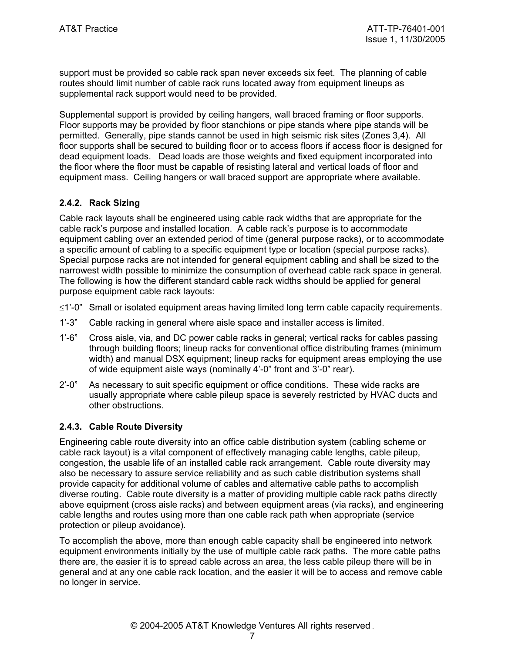support must be provided so cable rack span never exceeds six feet. The planning of cable routes should limit number of cable rack runs located away from equipment lineups as supplemental rack support would need to be provided.

Supplemental support is provided by ceiling hangers, wall braced framing or floor supports. Floor supports may be provided by floor stanchions or pipe stands where pipe stands will be permitted. Generally, pipe stands cannot be used in high seismic risk sites (Zones 3,4). All floor supports shall be secured to building floor or to access floors if access floor is designed for dead equipment loads. Dead loads are those weights and fixed equipment incorporated into the floor where the floor must be capable of resisting lateral and vertical loads of floor and equipment mass. Ceiling hangers or wall braced support are appropriate where available.

# **2.4.2. Rack Sizing**

Cable rack layouts shall be engineered using cable rack widths that are appropriate for the cable rack's purpose and installed location. A cable rack's purpose is to accommodate equipment cabling over an extended period of time (general purpose racks), or to accommodate a specific amount of cabling to a specific equipment type or location (special purpose racks). Special purpose racks are not intended for general equipment cabling and shall be sized to the narrowest width possible to minimize the consumption of overhead cable rack space in general. The following is how the different standard cable rack widths should be applied for general purpose equipment cable rack layouts:

- ≤1'-0" Small or isolated equipment areas having limited long term cable capacity requirements.
- 1'-3" Cable racking in general where aisle space and installer access is limited.
- 1'-6" Cross aisle, via, and DC power cable racks in general; vertical racks for cables passing through building floors; lineup racks for conventional office distributing frames (minimum width) and manual DSX equipment; lineup racks for equipment areas employing the use of wide equipment aisle ways (nominally 4'-0" front and 3'-0" rear).
- 2'-0" As necessary to suit specific equipment or office conditions. These wide racks are usually appropriate where cable pileup space is severely restricted by HVAC ducts and other obstructions.

# **2.4.3. Cable Route Diversity**

Engineering cable route diversity into an office cable distribution system (cabling scheme or cable rack layout) is a vital component of effectively managing cable lengths, cable pileup, congestion, the usable life of an installed cable rack arrangement. Cable route diversity may also be necessary to assure service reliability and as such cable distribution systems shall provide capacity for additional volume of cables and alternative cable paths to accomplish diverse routing. Cable route diversity is a matter of providing multiple cable rack paths directly above equipment (cross aisle racks) and between equipment areas (via racks), and engineering cable lengths and routes using more than one cable rack path when appropriate (service protection or pileup avoidance).

To accomplish the above, more than enough cable capacity shall be engineered into network equipment environments initially by the use of multiple cable rack paths. The more cable paths there are, the easier it is to spread cable across an area, the less cable pileup there will be in general and at any one cable rack location, and the easier it will be to access and remove cable no longer in service.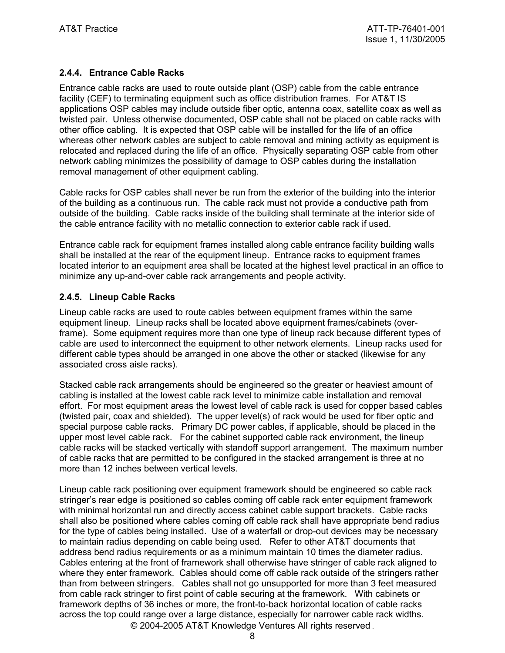# **2.4.4. Entrance Cable Racks**

Entrance cable racks are used to route outside plant (OSP) cable from the cable entrance facility (CEF) to terminating equipment such as office distribution frames. For AT&T IS applications OSP cables may include outside fiber optic, antenna coax, satellite coax as well as twisted pair. Unless otherwise documented, OSP cable shall not be placed on cable racks with other office cabling. It is expected that OSP cable will be installed for the life of an office whereas other network cables are subject to cable removal and mining activity as equipment is relocated and replaced during the life of an office. Physically separating OSP cable from other network cabling minimizes the possibility of damage to OSP cables during the installation removal management of other equipment cabling.

Cable racks for OSP cables shall never be run from the exterior of the building into the interior of the building as a continuous run. The cable rack must not provide a conductive path from outside of the building. Cable racks inside of the building shall terminate at the interior side of the cable entrance facility with no metallic connection to exterior cable rack if used.

Entrance cable rack for equipment frames installed along cable entrance facility building walls shall be installed at the rear of the equipment lineup. Entrance racks to equipment frames located interior to an equipment area shall be located at the highest level practical in an office to minimize any up-and-over cable rack arrangements and people activity.

## **2.4.5. Lineup Cable Racks**

Lineup cable racks are used to route cables between equipment frames within the same equipment lineup. Lineup racks shall be located above equipment frames/cabinets (overframe). Some equipment requires more than one type of lineup rack because different types of cable are used to interconnect the equipment to other network elements. Lineup racks used for different cable types should be arranged in one above the other or stacked (likewise for any associated cross aisle racks).

Stacked cable rack arrangements should be engineered so the greater or heaviest amount of cabling is installed at the lowest cable rack level to minimize cable installation and removal effort. For most equipment areas the lowest level of cable rack is used for copper based cables (twisted pair, coax and shielded). The upper level(s) of rack would be used for fiber optic and special purpose cable racks. Primary DC power cables, if applicable, should be placed in the upper most level cable rack. For the cabinet supported cable rack environment, the lineup cable racks will be stacked vertically with standoff support arrangement. The maximum number of cable racks that are permitted to be configured in the stacked arrangement is three at no more than 12 inches between vertical levels.

© 2004-2005 AT&T Knowledge Ventures All rights reserved . Lineup cable rack positioning over equipment framework should be engineered so cable rack stringer's rear edge is positioned so cables coming off cable rack enter equipment framework with minimal horizontal run and directly access cabinet cable support brackets. Cable racks shall also be positioned where cables coming off cable rack shall have appropriate bend radius for the type of cables being installed. Use of a waterfall or drop-out devices may be necessary to maintain radius depending on cable being used. Refer to other AT&T documents that address bend radius requirements or as a minimum maintain 10 times the diameter radius. Cables entering at the front of framework shall otherwise have stringer of cable rack aligned to where they enter framework. Cables should come off cable rack outside of the stringers rather than from between stringers. Cables shall not go unsupported for more than 3 feet measured from cable rack stringer to first point of cable securing at the framework. With cabinets or framework depths of 36 inches or more, the front-to-back horizontal location of cable racks across the top could range over a large distance, especially for narrower cable rack widths.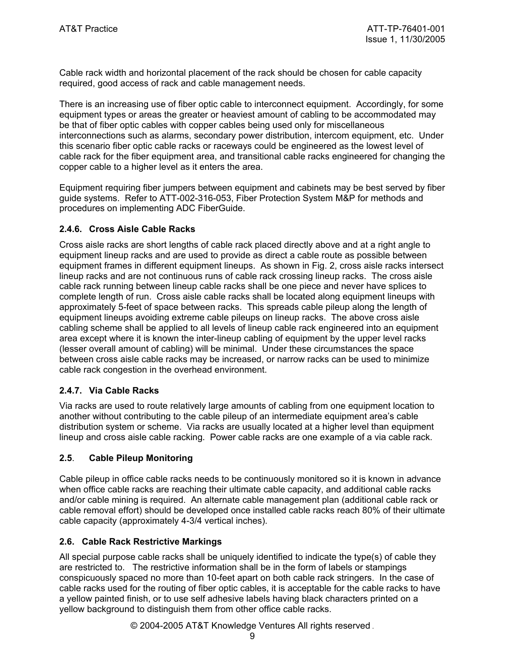Cable rack width and horizontal placement of the rack should be chosen for cable capacity required, good access of rack and cable management needs.

There is an increasing use of fiber optic cable to interconnect equipment. Accordingly, for some equipment types or areas the greater or heaviest amount of cabling to be accommodated may be that of fiber optic cables with copper cables being used only for miscellaneous interconnections such as alarms, secondary power distribution, intercom equipment, etc. Under this scenario fiber optic cable racks or raceways could be engineered as the lowest level of cable rack for the fiber equipment area, and transitional cable racks engineered for changing the copper cable to a higher level as it enters the area.

Equipment requiring fiber jumpers between equipment and cabinets may be best served by fiber guide systems. Refer to ATT-002-316-053, Fiber Protection System M&P for methods and procedures on implementing ADC FiberGuide.

## **2.4.6. Cross Aisle Cable Racks**

Cross aisle racks are short lengths of cable rack placed directly above and at a right angle to equipment lineup racks and are used to provide as direct a cable route as possible between equipment frames in different equipment lineups. As shown in Fig. 2, cross aisle racks intersect lineup racks and are not continuous runs of cable rack crossing lineup racks. The cross aisle cable rack running between lineup cable racks shall be one piece and never have splices to complete length of run. Cross aisle cable racks shall be located along equipment lineups with approximately 5-feet of space between racks. This spreads cable pileup along the length of equipment lineups avoiding extreme cable pileups on lineup racks. The above cross aisle cabling scheme shall be applied to all levels of lineup cable rack engineered into an equipment area except where it is known the inter-lineup cabling of equipment by the upper level racks (lesser overall amount of cabling) will be minimal. Under these circumstances the space between cross aisle cable racks may be increased, or narrow racks can be used to minimize cable rack congestion in the overhead environment.

#### **2.4.7. Via Cable Racks**

Via racks are used to route relatively large amounts of cabling from one equipment location to another without contributing to the cable pileup of an intermediate equipment area's cable distribution system or scheme. Via racks are usually located at a higher level than equipment lineup and cross aisle cable racking. Power cable racks are one example of a via cable rack.

#### **2.5**. **Cable Pileup Monitoring**

Cable pileup in office cable racks needs to be continuously monitored so it is known in advance when office cable racks are reaching their ultimate cable capacity, and additional cable racks and/or cable mining is required. An alternate cable management plan (additional cable rack or cable removal effort) should be developed once installed cable racks reach 80% of their ultimate cable capacity (approximately 4-3/4 vertical inches).

#### **2.6. Cable Rack Restrictive Markings**

All special purpose cable racks shall be uniquely identified to indicate the type(s) of cable they are restricted to. The restrictive information shall be in the form of labels or stampings conspicuously spaced no more than 10-feet apart on both cable rack stringers. In the case of cable racks used for the routing of fiber optic cables, it is acceptable for the cable racks to have a yellow painted finish, or to use self adhesive labels having black characters printed on a yellow background to distinguish them from other office cable racks.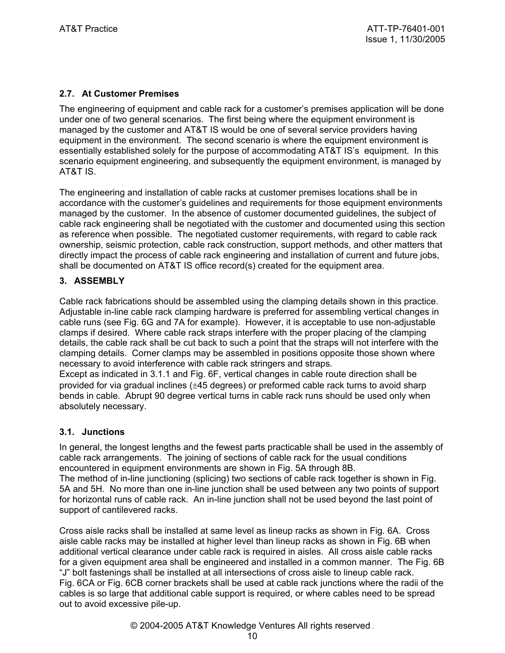# **2.7. At Customer Premises**

The engineering of equipment and cable rack for a customer's premises application will be done under one of two general scenarios. The first being where the equipment environment is managed by the customer and AT&T IS would be one of several service providers having equipment in the environment. The second scenario is where the equipment environment is essentially established solely for the purpose of accommodating AT&T IS's equipment. In this scenario equipment engineering, and subsequently the equipment environment, is managed by AT&T IS.

The engineering and installation of cable racks at customer premises locations shall be in accordance with the customer's guidelines and requirements for those equipment environments managed by the customer. In the absence of customer documented guidelines, the subject of cable rack engineering shall be negotiated with the customer and documented using this section as reference when possible. The negotiated customer requirements, with regard to cable rack ownership, seismic protection, cable rack construction, support methods, and other matters that directly impact the process of cable rack engineering and installation of current and future jobs, shall be documented on AT&T IS office record(s) created for the equipment area.

## **3. ASSEMBLY**

Cable rack fabrications should be assembled using the clamping details shown in this practice. Adjustable in-line cable rack clamping hardware is preferred for assembling vertical changes in cable runs (see Fig. 6G and 7A for example). However, it is acceptable to use non-adjustable clamps if desired. Where cable rack straps interfere with the proper placing of the clamping details, the cable rack shall be cut back to such a point that the straps will not interfere with the clamping details. Corner clamps may be assembled in positions opposite those shown where necessary to avoid interference with cable rack stringers and straps.

Except as indicated in 3.1.1 and Fig. 6F, vertical changes in cable route direction shall be provided for via gradual inclines (±45 degrees) or preformed cable rack turns to avoid sharp bends in cable. Abrupt 90 degree vertical turns in cable rack runs should be used only when absolutely necessary.

#### **3.1. Junctions**

In general, the longest lengths and the fewest parts practicable shall be used in the assembly of cable rack arrangements. The joining of sections of cable rack for the usual conditions encountered in equipment environments are shown in Fig. 5A through 8B.

The method of in-line junctioning (splicing) two sections of cable rack together is shown in Fig. 5A and 5H. No more than one in-line junction shall be used between any two points of support for horizontal runs of cable rack. An in-line junction shall not be used beyond the last point of support of cantilevered racks.

Cross aisle racks shall be installed at same level as lineup racks as shown in Fig. 6A. Cross aisle cable racks may be installed at higher level than lineup racks as shown in Fig. 6B when additional vertical clearance under cable rack is required in aisles. All cross aisle cable racks for a given equipment area shall be engineered and installed in a common manner. The Fig. 6B "J" bolt fastenings shall be installed at all intersections of cross aisle to lineup cable rack. Fig. 6CA or Fig. 6CB corner brackets shall be used at cable rack junctions where the radii of the cables is so large that additional cable support is required, or where cables need to be spread out to avoid excessive pile-up.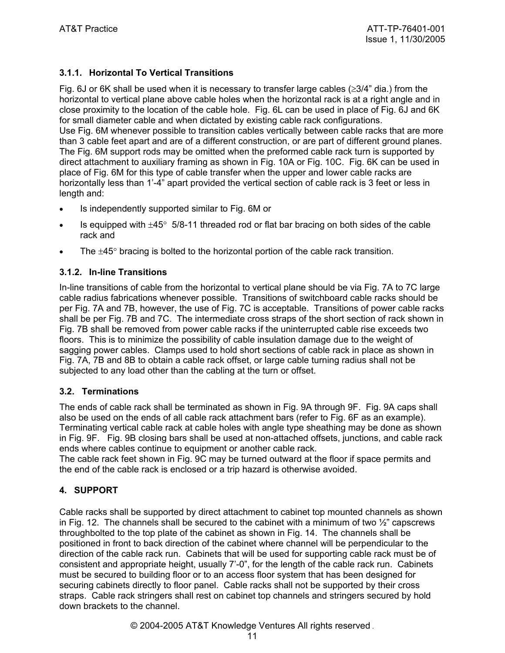# **3.1.1. Horizontal To Vertical Transitions**

Fig. 6J or 6K shall be used when it is necessary to transfer large cables ( $\geq 3/4$ " dia.) from the horizontal to vertical plane above cable holes when the horizontal rack is at a right angle and in close proximity to the location of the cable hole. Fig. 6L can be used in place of Fig. 6J and 6K for small diameter cable and when dictated by existing cable rack configurations. Use Fig. 6M whenever possible to transition cables vertically between cable racks that are more than 3 cable feet apart and are of a different construction, or are part of different ground planes. The Fig. 6M support rods may be omitted when the preformed cable rack turn is supported by direct attachment to auxiliary framing as shown in Fig. 10A or Fig. 10C. Fig. 6K can be used in place of Fig. 6M for this type of cable transfer when the upper and lower cable racks are horizontally less than 1'-4" apart provided the vertical section of cable rack is 3 feet or less in length and:

- Is independently supported similar to Fig. 6M or
- Is equipped with  $\pm 45^{\circ}$  5/8-11 threaded rod or flat bar bracing on both sides of the cable rack and
- The  $\pm 45^{\circ}$  bracing is bolted to the horizontal portion of the cable rack transition.

## **3.1.2. In-line Transitions**

In-line transitions of cable from the horizontal to vertical plane should be via Fig. 7A to 7C large cable radius fabrications whenever possible. Transitions of switchboard cable racks should be per Fig. 7A and 7B, however, the use of Fig. 7C is acceptable. Transitions of power cable racks shall be per Fig. 7B and 7C. The intermediate cross straps of the short section of rack shown in Fig. 7B shall be removed from power cable racks if the uninterrupted cable rise exceeds two floors. This is to minimize the possibility of cable insulation damage due to the weight of sagging power cables. Clamps used to hold short sections of cable rack in place as shown in Fig. 7A, 7B and 8B to obtain a cable rack offset, or large cable turning radius shall not be subjected to any load other than the cabling at the turn or offset.

#### **3.2. Terminations**

The ends of cable rack shall be terminated as shown in Fig. 9A through 9F. Fig. 9A caps shall also be used on the ends of all cable rack attachment bars (refer to Fig. 6F as an example). Terminating vertical cable rack at cable holes with angle type sheathing may be done as shown in Fig. 9F. Fig. 9B closing bars shall be used at non-attached offsets, junctions, and cable rack ends where cables continue to equipment or another cable rack.

The cable rack feet shown in Fig. 9C may be turned outward at the floor if space permits and the end of the cable rack is enclosed or a trip hazard is otherwise avoided.

#### **4. SUPPORT**

Cable racks shall be supported by direct attachment to cabinet top mounted channels as shown in Fig. 12. The channels shall be secured to the cabinet with a minimum of two  $\frac{1}{2}$  capscrews throughbolted to the top plate of the cabinet as shown in Fig. 14. The channels shall be positioned in front to back direction of the cabinet where channel will be perpendicular to the direction of the cable rack run. Cabinets that will be used for supporting cable rack must be of consistent and appropriate height, usually 7'-0", for the length of the cable rack run. Cabinets must be secured to building floor or to an access floor system that has been designed for securing cabinets directly to floor panel. Cable racks shall not be supported by their cross straps. Cable rack stringers shall rest on cabinet top channels and stringers secured by hold down brackets to the channel.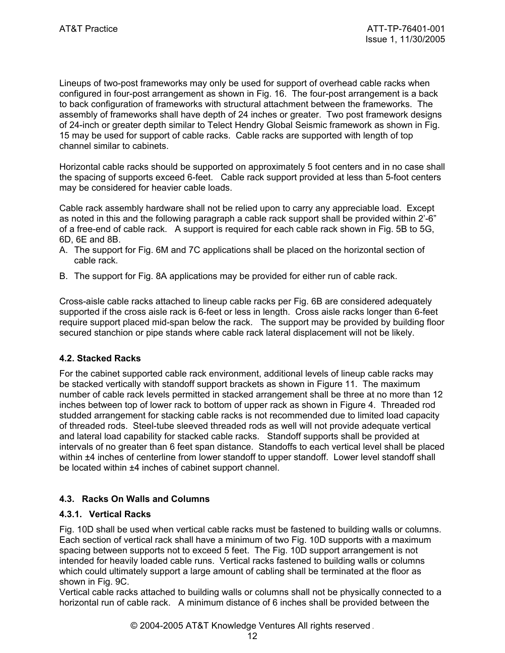Lineups of two-post frameworks may only be used for support of overhead cable racks when configured in four-post arrangement as shown in Fig. 16. The four-post arrangement is a back to back configuration of frameworks with structural attachment between the frameworks. The assembly of frameworks shall have depth of 24 inches or greater. Two post framework designs of 24-inch or greater depth similar to Telect Hendry Global Seismic framework as shown in Fig. 15 may be used for support of cable racks. Cable racks are supported with length of top channel similar to cabinets.

Horizontal cable racks should be supported on approximately 5 foot centers and in no case shall the spacing of supports exceed 6-feet. Cable rack support provided at less than 5-foot centers may be considered for heavier cable loads.

Cable rack assembly hardware shall not be relied upon to carry any appreciable load. Except as noted in this and the following paragraph a cable rack support shall be provided within 2'-6" of a free-end of cable rack. A support is required for each cable rack shown in Fig. 5B to 5G, 6D, 6E and 8B.

- A. The support for Fig. 6M and 7C applications shall be placed on the horizontal section of cable rack.
- B. The support for Fig. 8A applications may be provided for either run of cable rack.

Cross-aisle cable racks attached to lineup cable racks per Fig. 6B are considered adequately supported if the cross aisle rack is 6-feet or less in length. Cross aisle racks longer than 6-feet require support placed mid-span below the rack. The support may be provided by building floor secured stanchion or pipe stands where cable rack lateral displacement will not be likely.

#### **4.2. Stacked Racks**

For the cabinet supported cable rack environment, additional levels of lineup cable racks may be stacked vertically with standoff support brackets as shown in Figure 11. The maximum number of cable rack levels permitted in stacked arrangement shall be three at no more than 12 inches between top of lower rack to bottom of upper rack as shown in Figure 4. Threaded rod studded arrangement for stacking cable racks is not recommended due to limited load capacity of threaded rods. Steel-tube sleeved threaded rods as well will not provide adequate vertical and lateral load capability for stacked cable racks. Standoff supports shall be provided at intervals of no greater than 6 feet span distance. Standoffs to each vertical level shall be placed within  $±4$  inches of centerline from lower standoff to upper standoff. Lower level standoff shall be located within ±4 inches of cabinet support channel.

#### **4.3. Racks On Walls and Columns**

#### **4.3.1. Vertical Racks**

Fig. 10D shall be used when vertical cable racks must be fastened to building walls or columns. Each section of vertical rack shall have a minimum of two Fig. 10D supports with a maximum spacing between supports not to exceed 5 feet. The Fig. 10D support arrangement is not intended for heavily loaded cable runs. Vertical racks fastened to building walls or columns which could ultimately support a large amount of cabling shall be terminated at the floor as shown in Fig. 9C.

Vertical cable racks attached to building walls or columns shall not be physically connected to a horizontal run of cable rack. A minimum distance of 6 inches shall be provided between the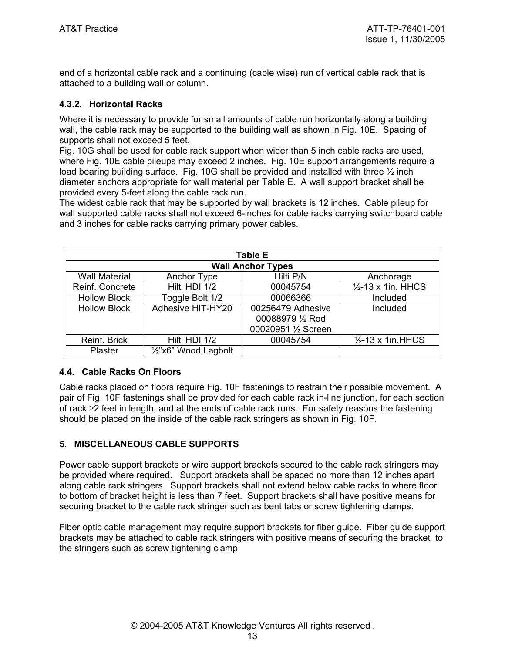end of a horizontal cable rack and a continuing (cable wise) run of vertical cable rack that is attached to a building wall or column.

## **4.3.2. Horizontal Racks**

Where it is necessary to provide for small amounts of cable run horizontally along a building wall, the cable rack may be supported to the building wall as shown in Fig. 10E. Spacing of supports shall not exceed 5 feet.

Fig. 10G shall be used for cable rack support when wider than 5 inch cable racks are used, where Fig. 10E cable pileups may exceed 2 inches. Fig. 10E support arrangements require a load bearing building surface. Fig. 10G shall be provided and installed with three  $\frac{1}{2}$  inch diameter anchors appropriate for wall material per Table E. A wall support bracket shall be provided every 5-feet along the cable rack run.

The widest cable rack that may be supported by wall brackets is 12 inches. Cable pileup for wall supported cable racks shall not exceed 6-inches for cable racks carrying switchboard cable and 3 inches for cable racks carrying primary power cables.

| <b>Table E</b>           |                      |                                       |                               |  |
|--------------------------|----------------------|---------------------------------------|-------------------------------|--|
| <b>Wall Anchor Types</b> |                      |                                       |                               |  |
| <b>Wall Material</b>     | Anchor Type          | Hilti P/N                             | Anchorage                     |  |
| Reinf. Concrete          | Hilti HDI 1/2        | 00045754                              | $\frac{1}{2}$ -13 x 1in. HHCS |  |
| <b>Hollow Block</b>      | Toggle Bolt 1/2      | 00066366                              | Included                      |  |
| <b>Hollow Block</b>      | Adhesive HIT-HY20    | 00256479 Adhesive<br>00088979 1/2 Rod | Included                      |  |
|                          |                      | 00020951 1/2 Screen                   |                               |  |
| Reinf. Brick             | Hilti HDI 1/2        | 00045754                              | $\frac{1}{2}$ -13 x 1in.HHCS  |  |
| Plaster                  | 1/2"x6" Wood Lagbolt |                                       |                               |  |

#### **4.4. Cable Racks On Floors**

Cable racks placed on floors require Fig. 10F fastenings to restrain their possible movement. A pair of Fig. 10F fastenings shall be provided for each cable rack in-line junction, for each section of rack ≥2 feet in length, and at the ends of cable rack runs. For safety reasons the fastening should be placed on the inside of the cable rack stringers as shown in Fig. 10F.

#### **5. MISCELLANEOUS CABLE SUPPORTS**

Power cable support brackets or wire support brackets secured to the cable rack stringers may be provided where required. Support brackets shall be spaced no more than 12 inches apart along cable rack stringers. Support brackets shall not extend below cable racks to where floor to bottom of bracket height is less than 7 feet. Support brackets shall have positive means for securing bracket to the cable rack stringer such as bent tabs or screw tightening clamps.

Fiber optic cable management may require support brackets for fiber guide. Fiber guide support brackets may be attached to cable rack stringers with positive means of securing the bracket to the stringers such as screw tightening clamp.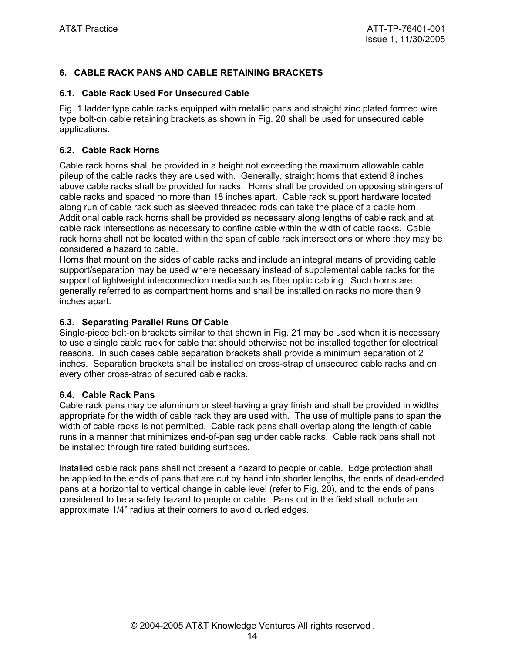# **6. CABLE RACK PANS AND CABLE RETAINING BRACKETS**

#### **6.1. Cable Rack Used For Unsecured Cable**

Fig. 1 ladder type cable racks equipped with metallic pans and straight zinc plated formed wire type bolt-on cable retaining brackets as shown in Fig. 20 shall be used for unsecured cable applications.

#### **6.2. Cable Rack Horns**

Cable rack horns shall be provided in a height not exceeding the maximum allowable cable pileup of the cable racks they are used with. Generally, straight horns that extend 8 inches above cable racks shall be provided for racks. Horns shall be provided on opposing stringers of cable racks and spaced no more than 18 inches apart. Cable rack support hardware located along run of cable rack such as sleeved threaded rods can take the place of a cable horn. Additional cable rack horns shall be provided as necessary along lengths of cable rack and at cable rack intersections as necessary to confine cable within the width of cable racks. Cable rack horns shall not be located within the span of cable rack intersections or where they may be considered a hazard to cable.

Horns that mount on the sides of cable racks and include an integral means of providing cable support/separation may be used where necessary instead of supplemental cable racks for the support of lightweight interconnection media such as fiber optic cabling. Such horns are generally referred to as compartment horns and shall be installed on racks no more than 9 inches apart.

#### **6.3. Separating Parallel Runs Of Cable**

Single-piece bolt-on brackets similar to that shown in Fig. 21 may be used when it is necessary to use a single cable rack for cable that should otherwise not be installed together for electrical reasons. In such cases cable separation brackets shall provide a minimum separation of 2 inches. Separation brackets shall be installed on cross-strap of unsecured cable racks and on every other cross-strap of secured cable racks.

#### **6.4. Cable Rack Pans**

Cable rack pans may be aluminum or steel having a gray finish and shall be provided in widths appropriate for the width of cable rack they are used with. The use of multiple pans to span the width of cable racks is not permitted. Cable rack pans shall overlap along the length of cable runs in a manner that minimizes end-of-pan sag under cable racks. Cable rack pans shall not be installed through fire rated building surfaces.

Installed cable rack pans shall not present a hazard to people or cable. Edge protection shall be applied to the ends of pans that are cut by hand into shorter lengths, the ends of dead-ended pans at a horizontal to vertical change in cable level (refer to Fig. 20), and to the ends of pans considered to be a safety hazard to people or cable. Pans cut in the field shall include an approximate 1/4" radius at their corners to avoid curled edges.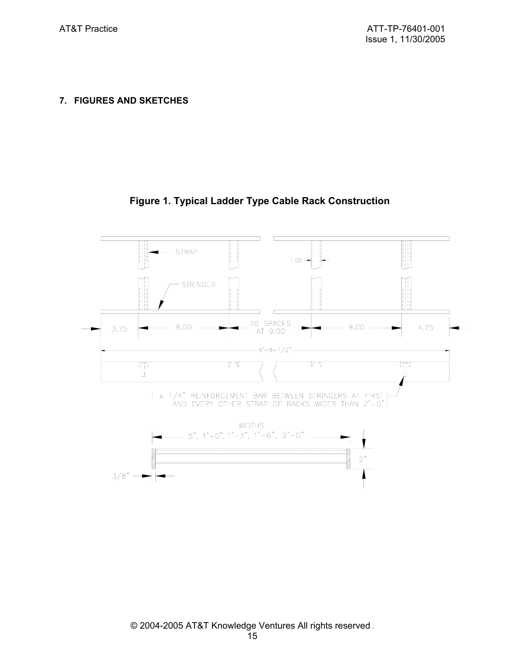**7. FIGURES AND SKETCHES** 

# **Figure 1. Typical Ladder Type Cable Rack Construction**

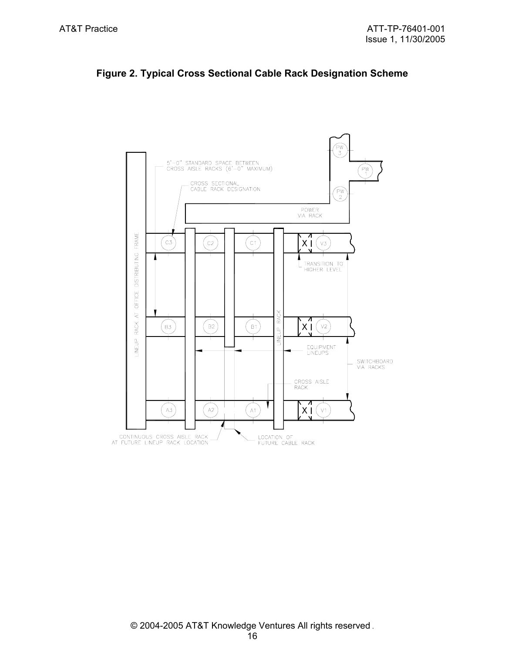

# **Figure 2. Typical Cross Sectional Cable Rack Designation Scheme**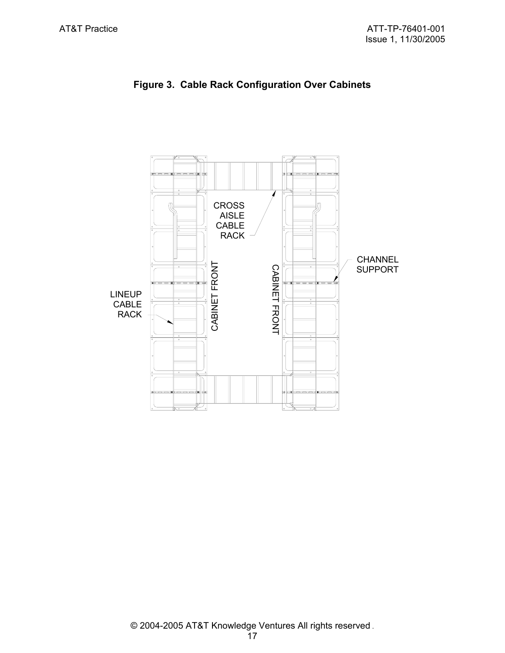

**Figure 3. Cable Rack Configuration Over Cabinets**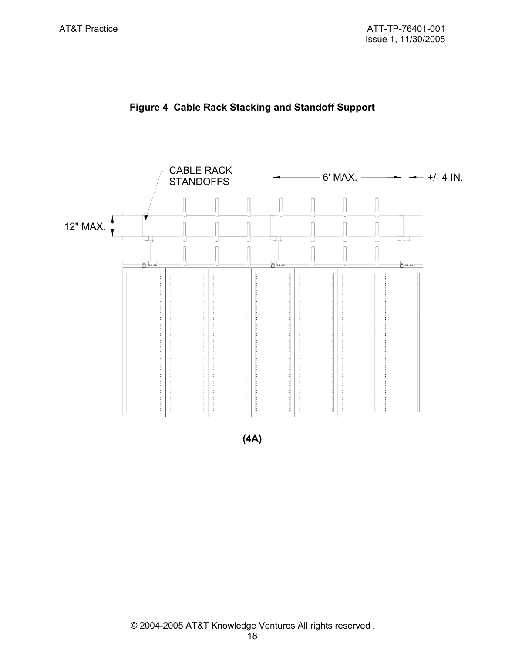



**(4A)**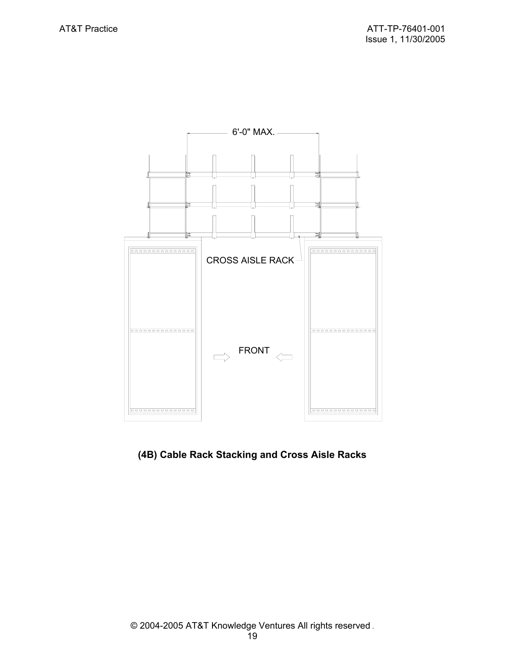

# **(4B) Cable Rack Stacking and Cross Aisle Racks**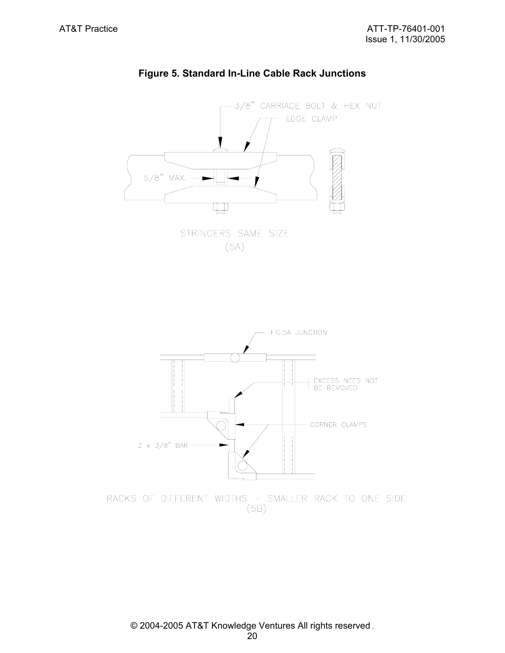

# **Figure 5. Standard In-Line Cable Rack Junctions**



 $(5B)$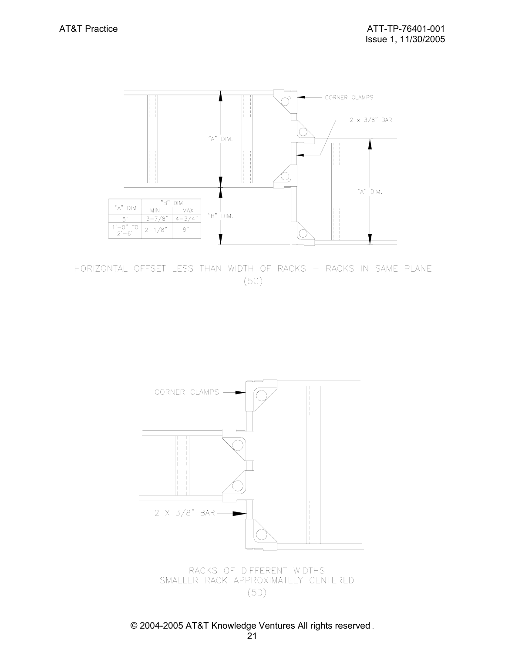

HORIZONTAL OFFSET LESS THAN WIDTH OF RACKS - RACKS IN SAME PLANE  $(5C)$ 



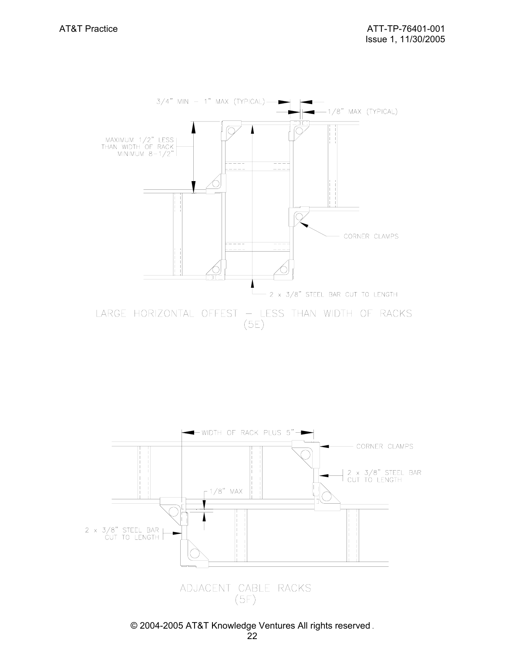

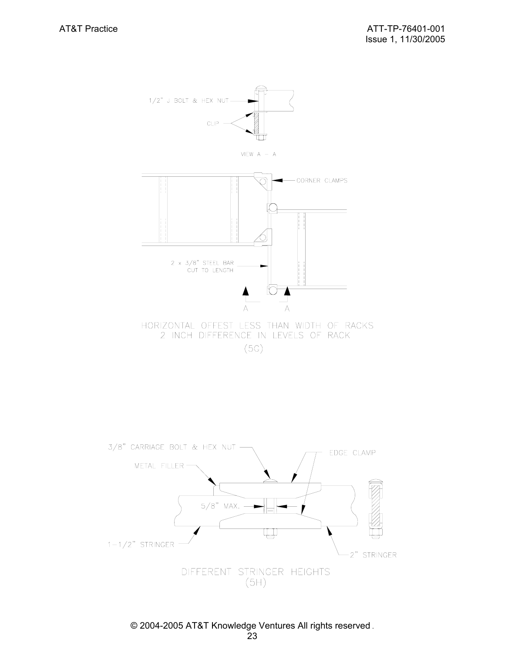

HORIZONTAL OFFEST LESS THAN WIDTH OF RACKS 2 INCH DIFFERENCE IN LEVELS OF RACK

 $(5G)$ 

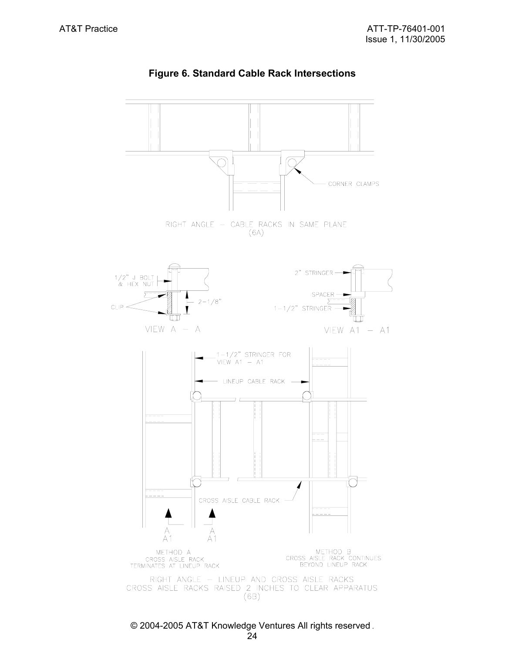

# **Figure 6. Standard Cable Rack Intersections**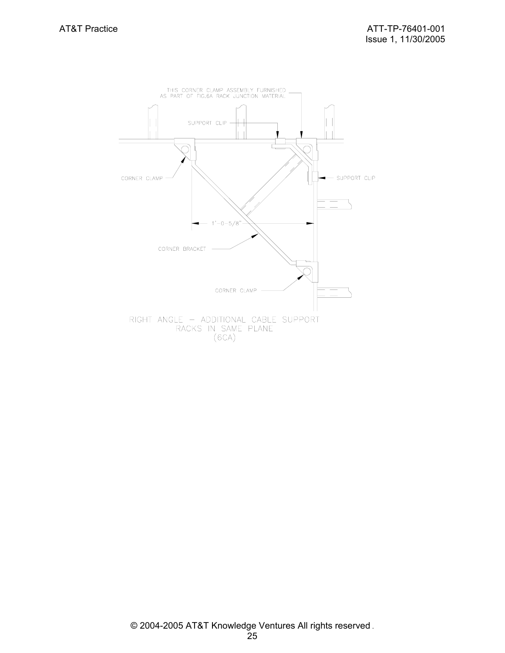![](_page_24_Figure_2.jpeg)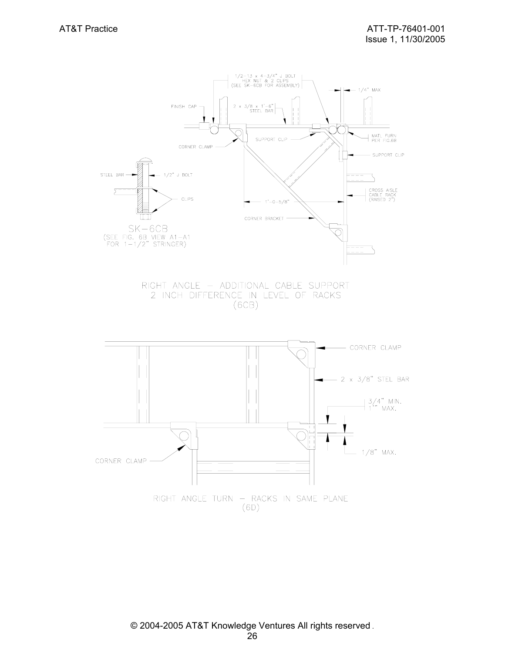![](_page_25_Figure_2.jpeg)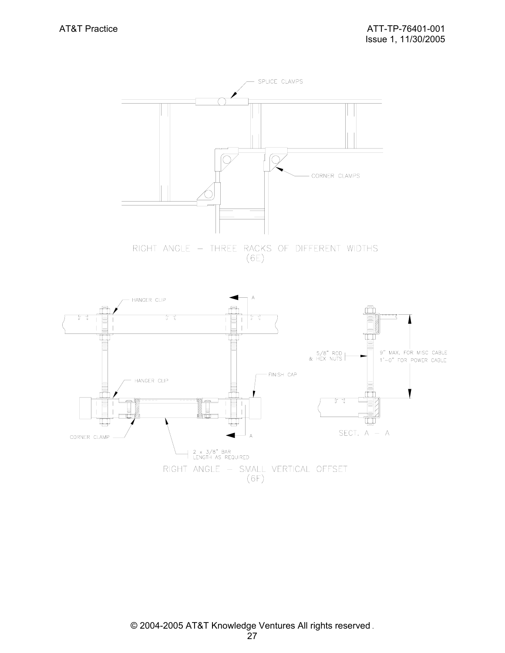![](_page_26_Figure_2.jpeg)

 $(6E)$ 

![](_page_26_Figure_4.jpeg)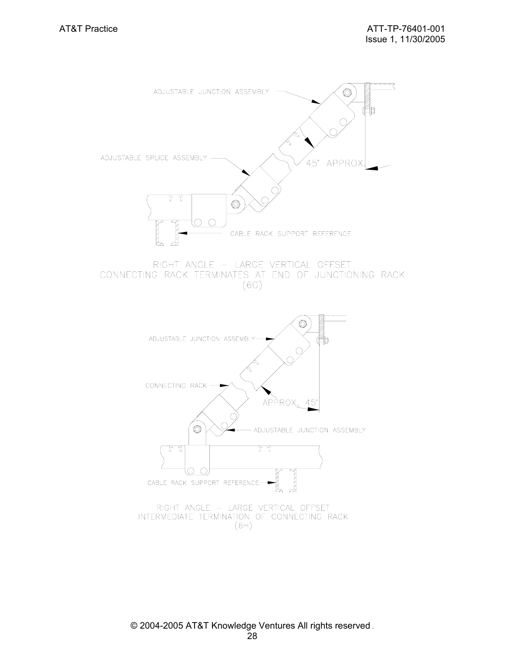![](_page_27_Figure_2.jpeg)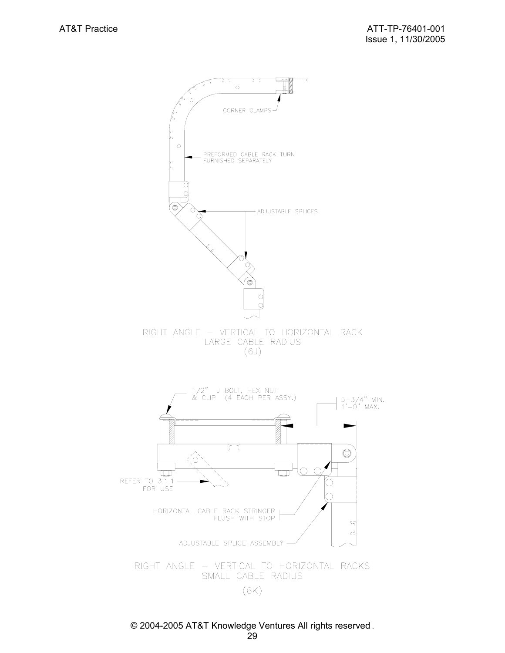![](_page_28_Figure_2.jpeg)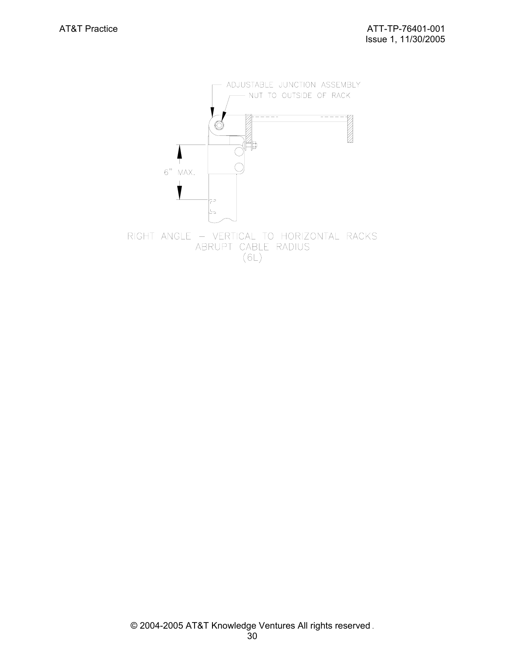![](_page_29_Figure_2.jpeg)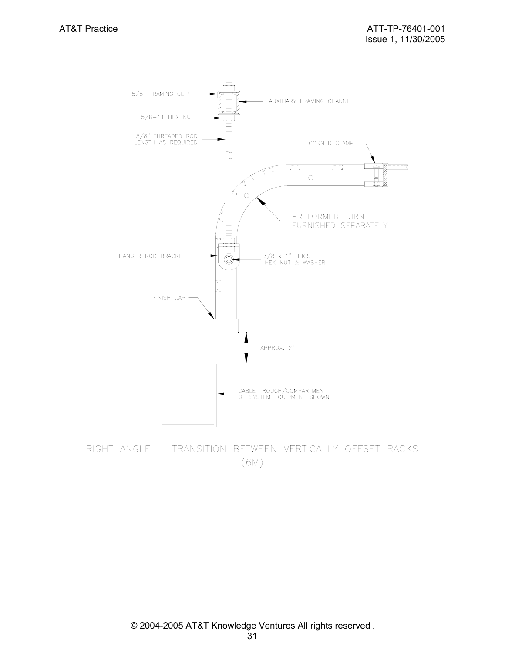![](_page_30_Figure_2.jpeg)

RIGHT ANGLE - TRANSITION BETWEEN VERTICALLY OFFSET RACKS  $(6M)$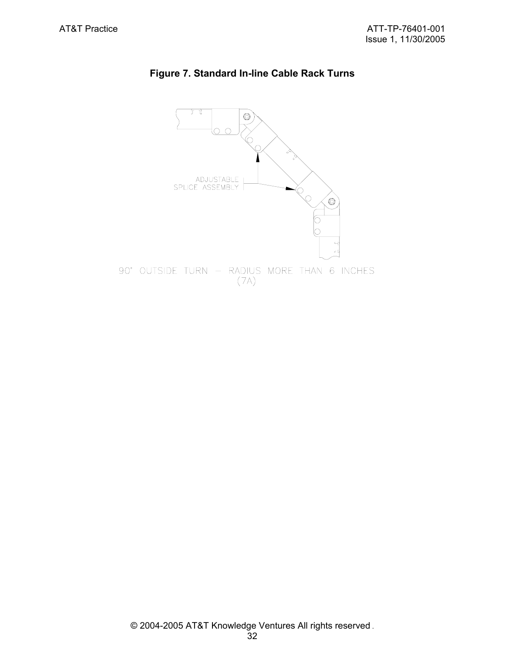![](_page_31_Figure_2.jpeg)

# **Figure 7. Standard In-line Cable Rack Turns**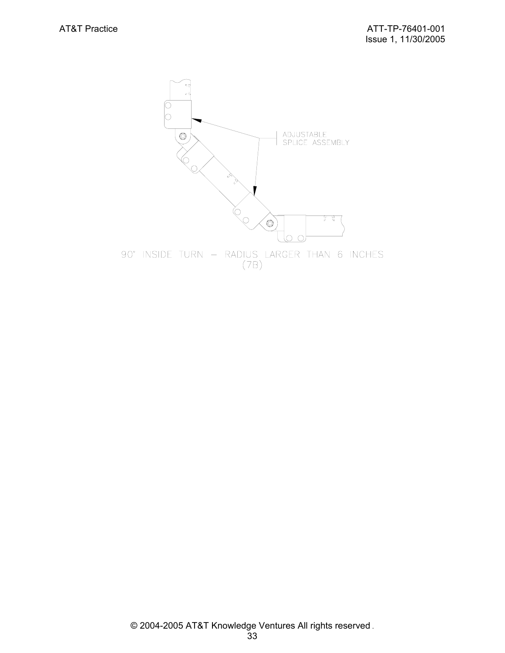![](_page_32_Figure_2.jpeg)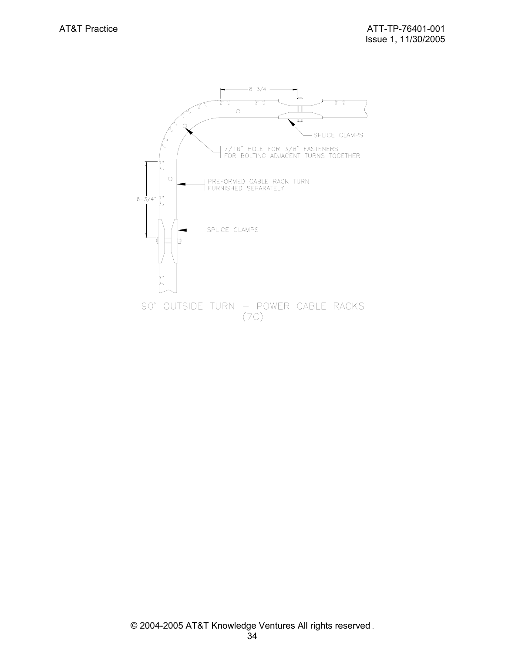![](_page_33_Figure_2.jpeg)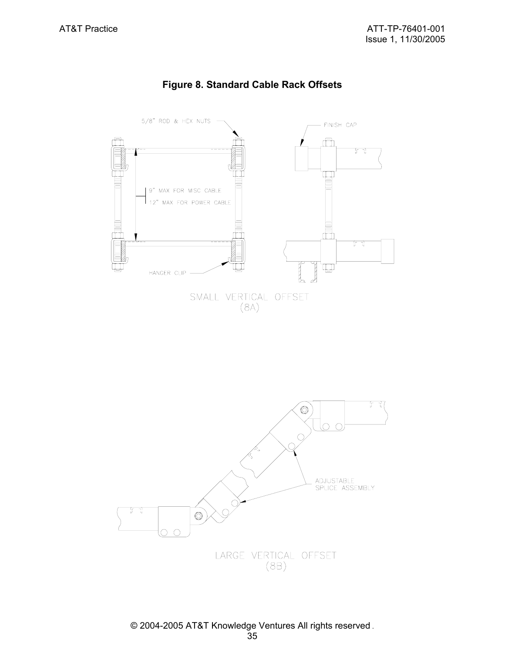![](_page_34_Figure_2.jpeg)

# **Figure 8. Standard Cable Rack Offsets**

![](_page_34_Figure_4.jpeg)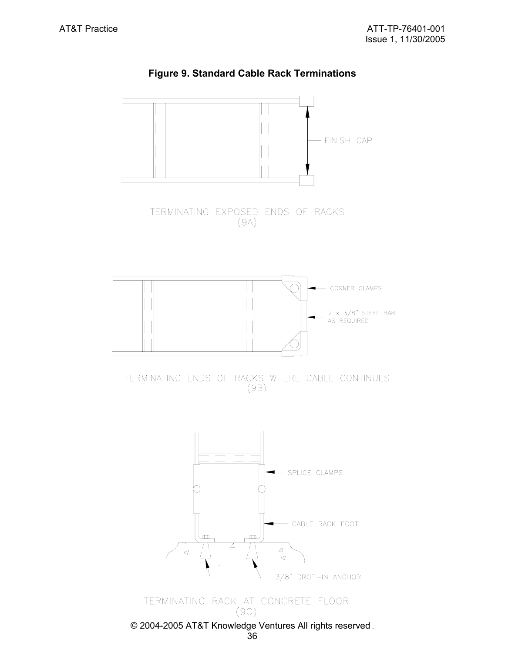![](_page_35_Figure_2.jpeg)

**Figure 9. Standard Cable Rack Terminations**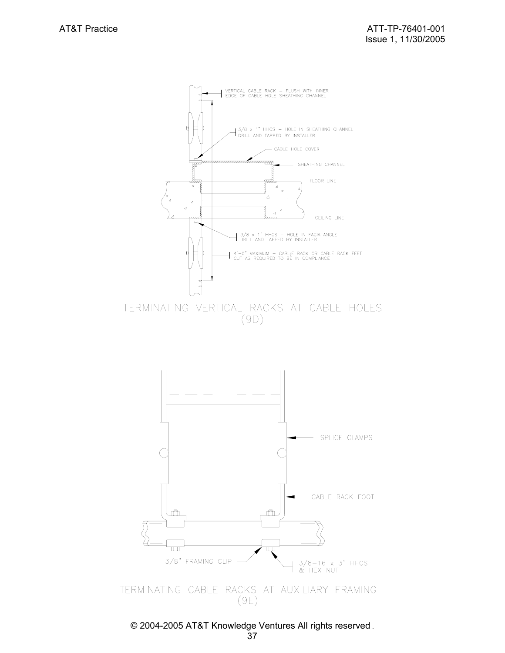![](_page_36_Figure_2.jpeg)

 $(9D)$ 

![](_page_36_Figure_4.jpeg)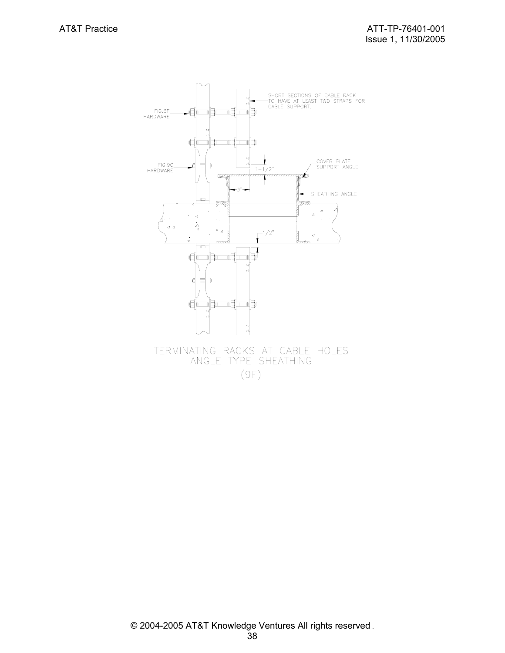![](_page_37_Figure_2.jpeg)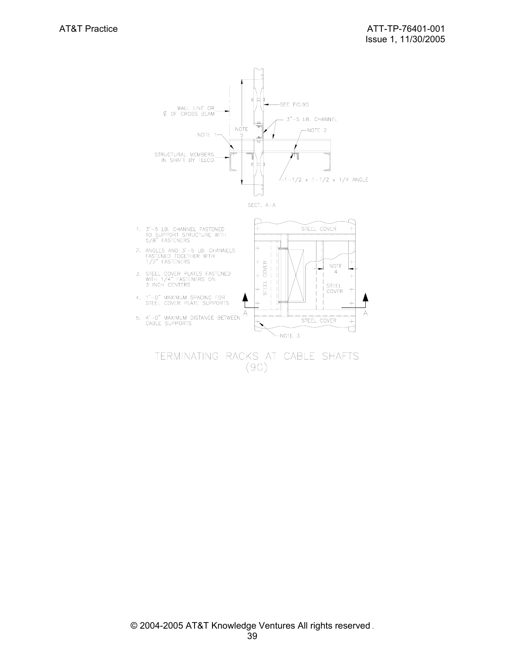![](_page_38_Figure_2.jpeg)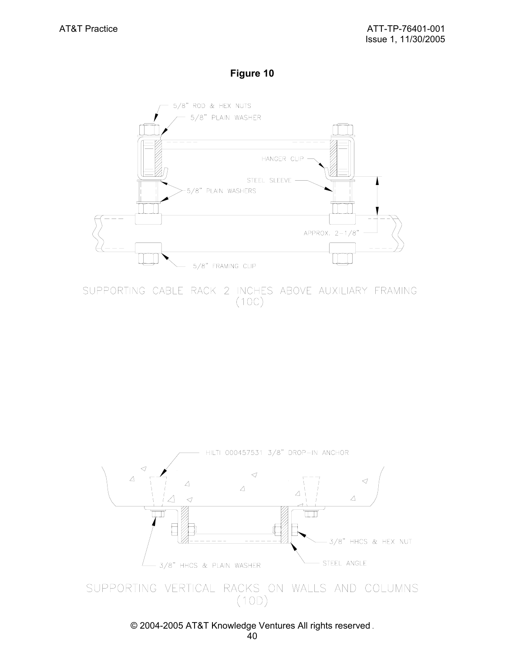## **Figure 10**

![](_page_39_Figure_3.jpeg)

SUPPORTING CABLE RACK 2 INCHES ABOVE AUXILIARY FRAMING  $(10C)$ 

![](_page_39_Figure_5.jpeg)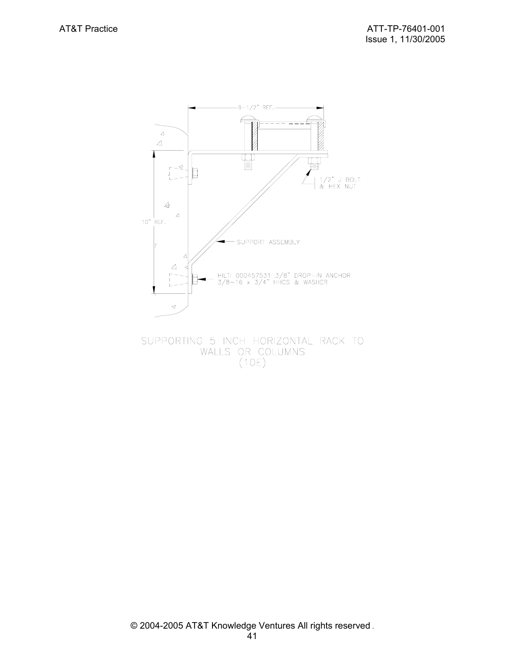![](_page_40_Figure_2.jpeg)

SUPPORTING 5 INCH HORIZONTAL RACK TO WALLS OR COLUMNS  $(10E)$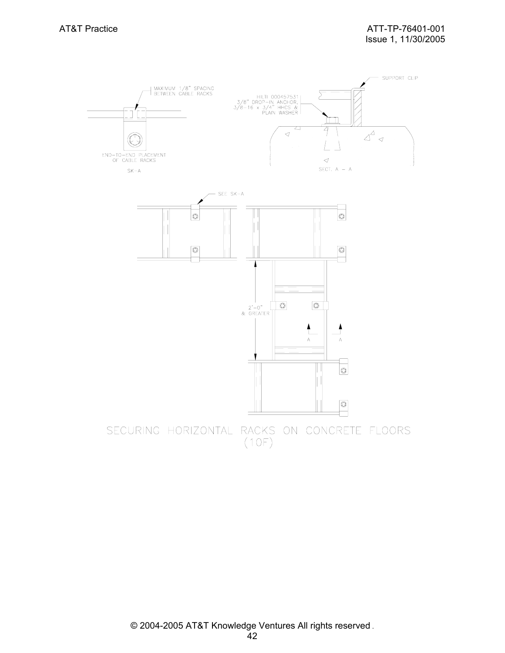![](_page_41_Figure_2.jpeg)

 $(10F)$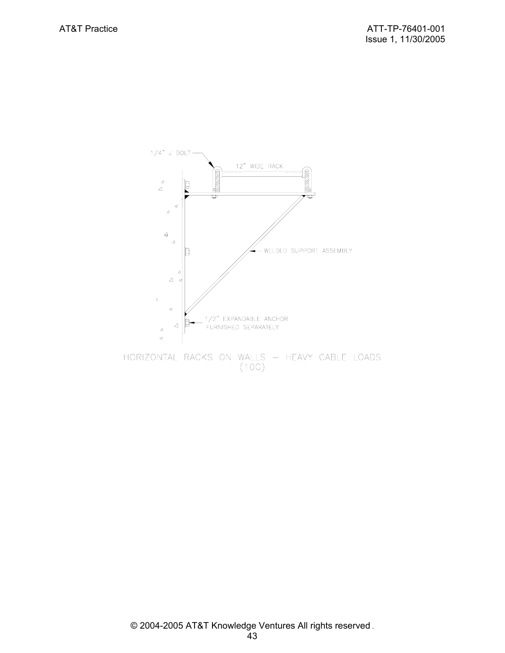![](_page_42_Figure_2.jpeg)

 $(10G)$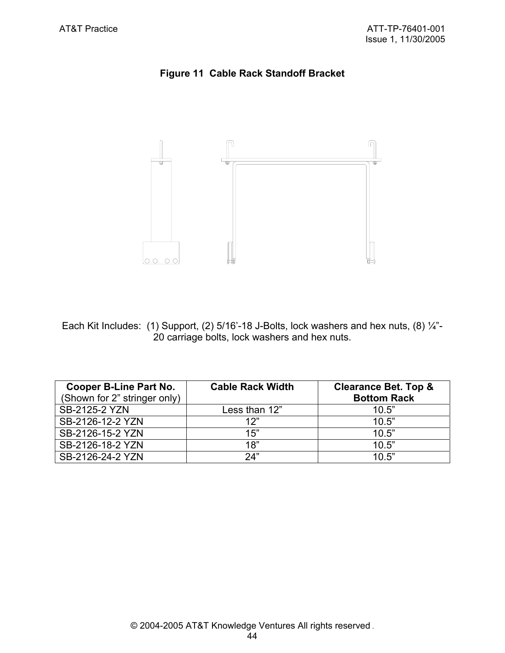# **Figure 11 Cable Rack Standoff Bracket**

![](_page_43_Figure_3.jpeg)

Each Kit Includes: (1) Support, (2) 5/16'-18 J-Bolts, lock washers and hex nuts, (8) 1/4"-20 carriage bolts, lock washers and hex nuts.

| <b>Cooper B-Line Part No.</b><br>(Shown for 2" stringer only) | <b>Cable Rack Width</b> | <b>Clearance Bet. Top &amp;</b><br><b>Bottom Rack</b> |
|---------------------------------------------------------------|-------------------------|-------------------------------------------------------|
| SB-2125-2 YZN                                                 | Less than 12"           | 10.5"                                                 |
| SB-2126-12-2 YZN                                              | 12"                     | 10.5"                                                 |
| SB-2126-15-2 YZN                                              | 15"                     | 10.5"                                                 |
| SB-2126-18-2 YZN                                              | 18"                     | 10.5"                                                 |
| SB-2126-24-2 YZN                                              | 24"                     | 10.5"                                                 |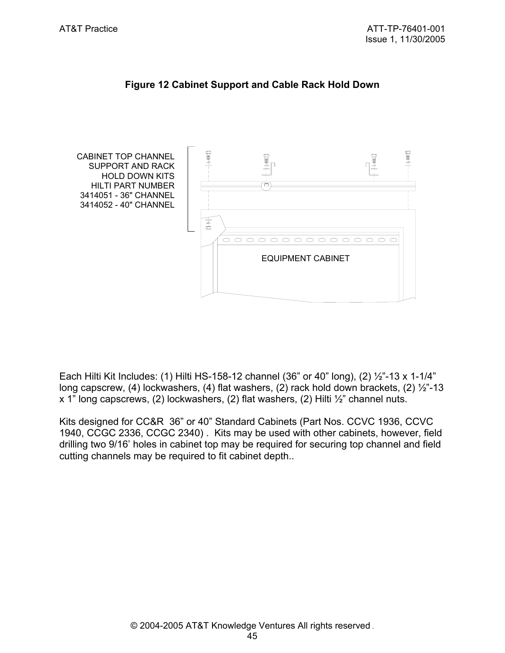![](_page_44_Figure_2.jpeg)

# **Figure 12 Cabinet Support and Cable Rack Hold Down**

Each Hilti Kit Includes: (1) Hilti HS-158-12 channel (36" or 40" long), (2) ½"-13 x 1-1/4" long capscrew, (4) lockwashers, (4) flat washers, (2) rack hold down brackets, (2)  $\frac{1}{2}$ -13 x 1" long capscrews, (2) lockwashers, (2) flat washers, (2) Hilti ½" channel nuts.

Kits designed for CC&R 36" or 40" Standard Cabinets (Part Nos. CCVC 1936, CCVC 1940, CCGC 2336, CCGC 2340) . Kits may be used with other cabinets, however, field drilling two 9/16' holes in cabinet top may be required for securing top channel and field cutting channels may be required to fit cabinet depth..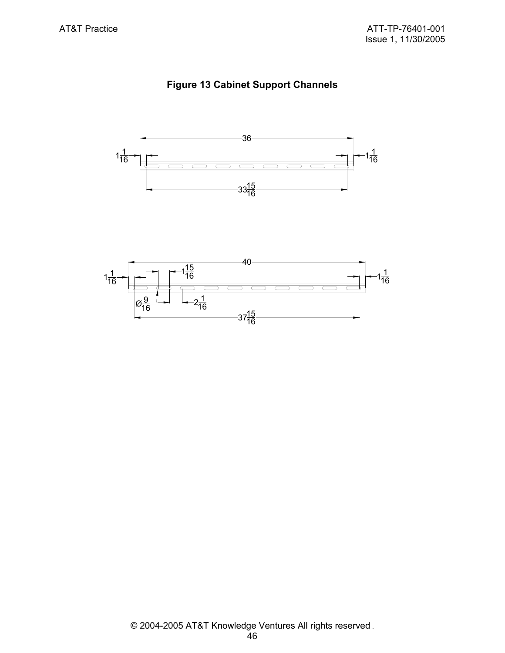# **Figure 13 Cabinet Support Channels**

![](_page_45_Figure_3.jpeg)

![](_page_45_Figure_4.jpeg)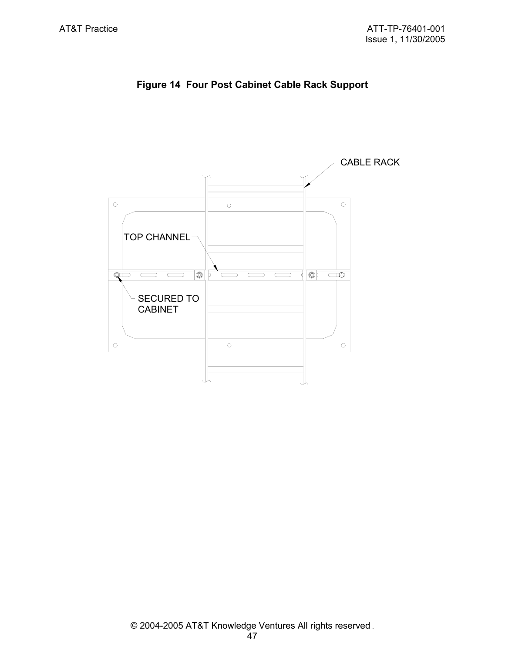![](_page_46_Figure_2.jpeg)

![](_page_46_Figure_3.jpeg)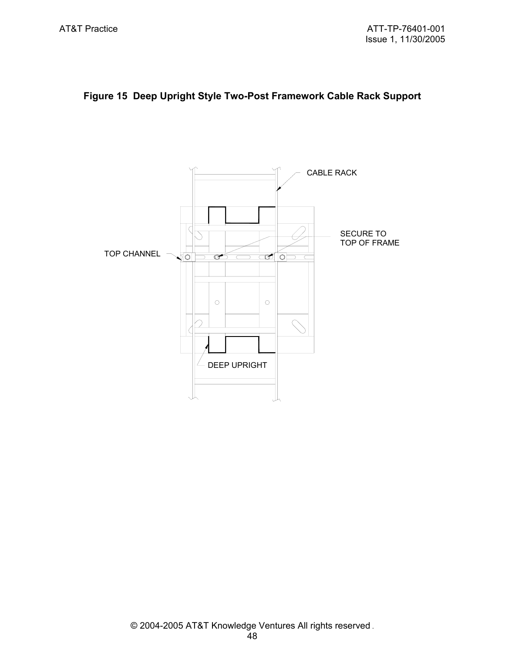# **Figure 15 Deep Upright Style Two-Post Framework Cable Rack Support**

![](_page_47_Figure_3.jpeg)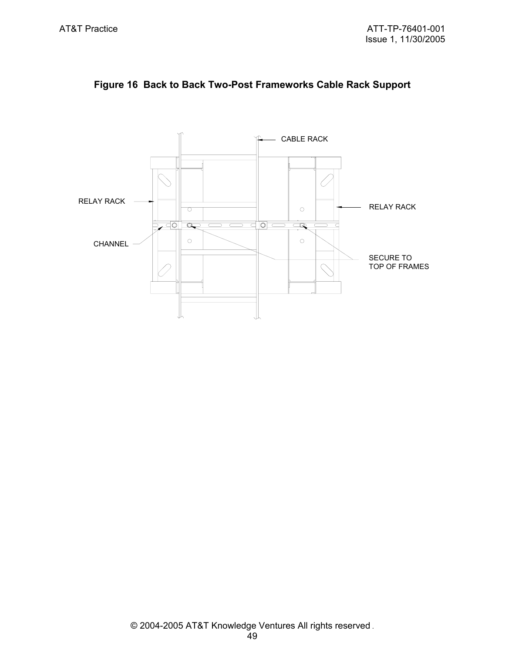![](_page_48_Figure_2.jpeg)

![](_page_48_Figure_3.jpeg)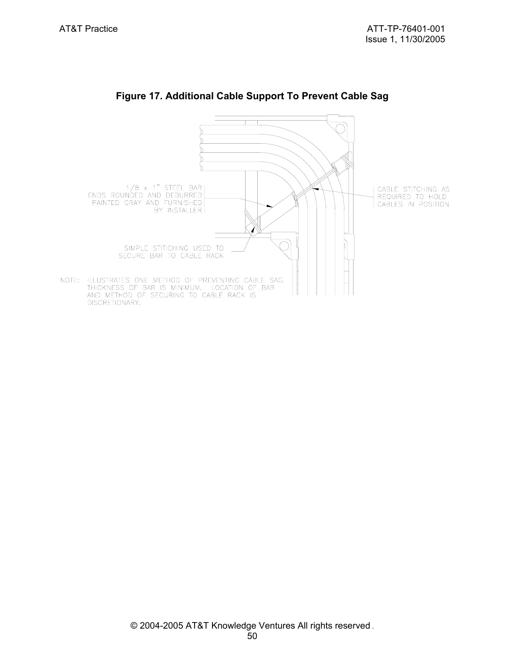![](_page_49_Figure_2.jpeg)

# **Figure 17. Additional Cable Support To Prevent Cable Sag**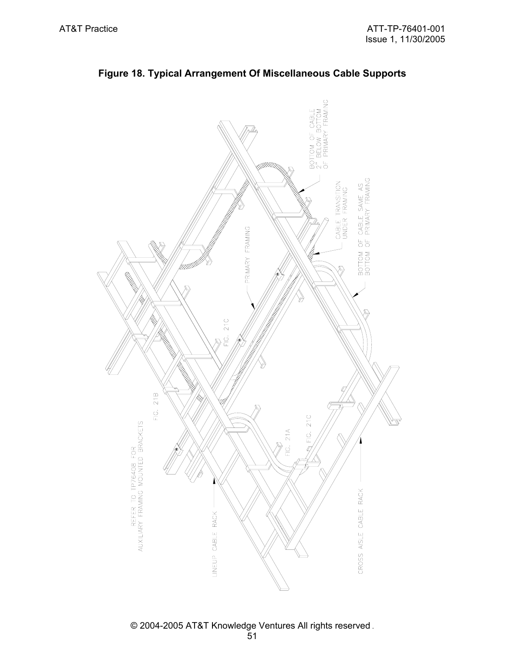![](_page_50_Figure_2.jpeg)

**Figure 18. Typical Arrangement Of Miscellaneous Cable Supports**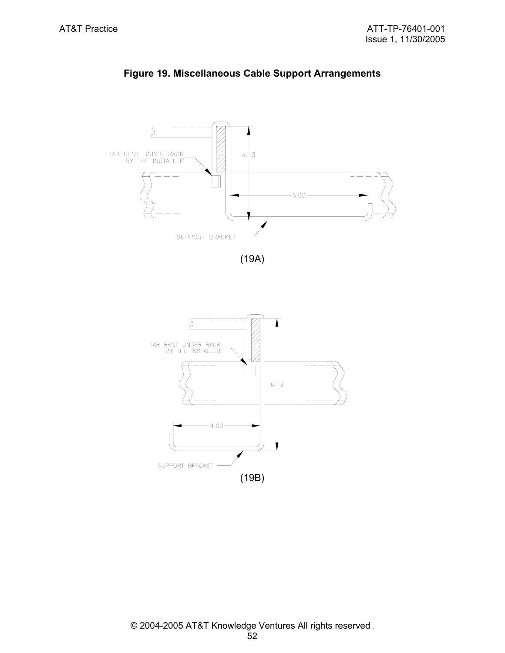![](_page_51_Figure_2.jpeg)

**Figure 19. Miscellaneous Cable Support Arrangements**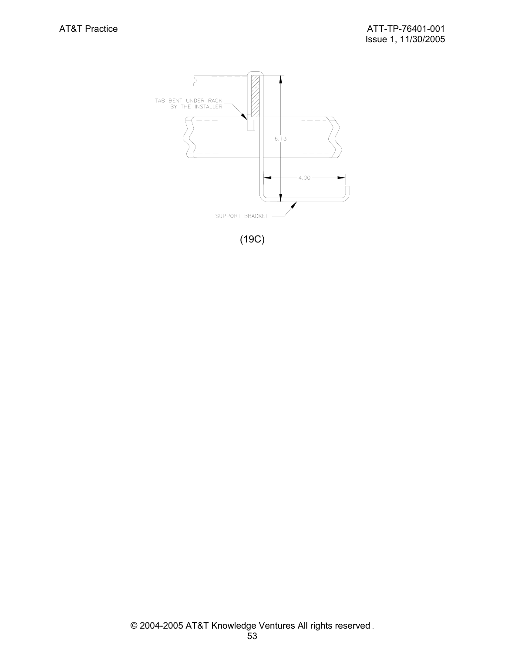![](_page_52_Figure_2.jpeg)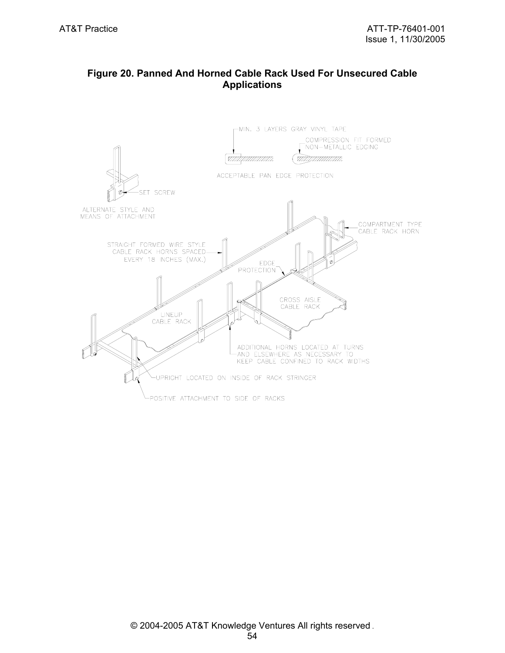# **Figure 20. Panned And Horned Cable Rack Used For Unsecured Cable Applications**

![](_page_53_Figure_3.jpeg)